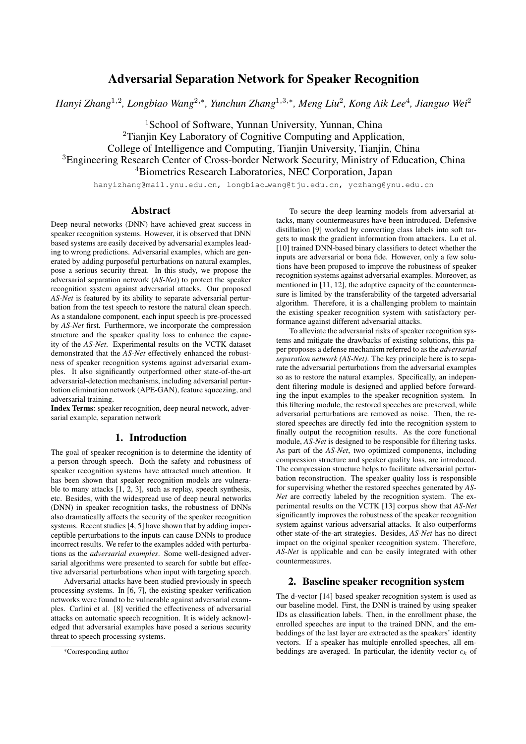# Adversarial Separation Network for Speaker Recognition

*Hanyi Zhang*<sup>1</sup>,<sup>2</sup> *, Longbiao Wang*<sup>2</sup>,<sup>∗</sup> *, Yunchun Zhang*<sup>1</sup>,3,<sup>∗</sup> *, Meng Liu*<sup>2</sup> *, Kong Aik Lee*<sup>4</sup> *, Jianguo Wei*<sup>2</sup>

<sup>1</sup>School of Software, Yunnan University, Yunnan, China <sup>2</sup>Tianiin Key Laboratory of Cognitive Computing and Application, College of Intelligence and Computing, Tianjin University, Tianjin, China <sup>3</sup>Engineering Research Center of Cross-border Network Security, Ministry of Education, China <sup>4</sup>Biometrics Research Laboratories, NEC Corporation, Japan

hanyizhang@mail.ynu.edu.cn, longbiao wang@tju.edu.cn, yczhang@ynu.edu.cn

## Abstract

Deep neural networks (DNN) have achieved great success in speaker recognition systems. However, it is observed that DNN based systems are easily deceived by adversarial examples leading to wrong predictions. Adversarial examples, which are generated by adding purposeful perturbations on natural examples, pose a serious security threat. In this study, we propose the adversarial separation network (*AS-Net*) to protect the speaker recognition system against adversarial attacks. Our proposed *AS-Net* is featured by its ability to separate adversarial perturbation from the test speech to restore the natural clean speech. As a standalone component, each input speech is pre-processed by *AS-Net* first. Furthermore, we incorporate the compression structure and the speaker quality loss to enhance the capacity of the *AS-Net*. Experimental results on the VCTK dataset demonstrated that the *AS-Net* effectively enhanced the robustness of speaker recognition systems against adversarial examples. It also significantly outperformed other state-of-the-art adversarial-detection mechanisms, including adversarial perturbation elimination network (APE-GAN), feature squeezing, and adversarial training.

Index Terms: speaker recognition, deep neural network, adversarial example, separation network

### 1. Introduction

The goal of speaker recognition is to determine the identity of a person through speech. Both the safety and robustness of speaker recognition systems have attracted much attention. It has been shown that speaker recognition models are vulnerable to many attacks [1, 2, 3], such as replay, speech synthesis, etc. Besides, with the widespread use of deep neural networks (DNN) in speaker recognition tasks, the robustness of DNNs also dramatically affects the security of the speaker recognition systems. Recent studies [4, 5] have shown that by adding imperceptible perturbations to the inputs can cause DNNs to produce incorrect results. We refer to the examples added with perturbations as the *adversarial examples*. Some well-designed adversarial algorithms were presented to search for subtle but effective adversarial perturbations when input with targeting speech.

Adversarial attacks have been studied previously in speech processing systems. In [6, 7], the existing speaker verification networks were found to be vulnerable against adversarial examples. Carlini et al. [8] verified the effectiveness of adversarial attacks on automatic speech recognition. It is widely acknowledged that adversarial examples have posed a serious security threat to speech processing systems.

To secure the deep learning models from adversarial attacks, many countermeasures have been introduced. Defensive distillation [9] worked by converting class labels into soft targets to mask the gradient information from attackers. Lu et al. [10] trained DNN-based binary classifiers to detect whether the inputs are adversarial or bona fide. However, only a few solutions have been proposed to improve the robustness of speaker recognition systems against adversarial examples. Moreover, as mentioned in [11, 12], the adaptive capacity of the countermeasure is limited by the transferability of the targeted adversarial algorithm. Therefore, it is a challenging problem to maintain the existing speaker recognition system with satisfactory performance against different adversarial attacks.

To alleviate the adversarial risks of speaker recognition systems and mitigate the drawbacks of existing solutions, this paper proposes a defense mechanism referred to as the *adversarial separation network (AS-Net)*. The key principle here is to separate the adversarial perturbations from the adversarial examples so as to restore the natural examples. Specifically, an independent filtering module is designed and applied before forwarding the input examples to the speaker recognition system. In this filtering module, the restored speeches are preserved, while adversarial perturbations are removed as noise. Then, the restored speeches are directly fed into the recognition system to finally output the recognition results. As the core functional module, *AS-Net* is designed to be responsible for filtering tasks. As part of the *AS-Net*, two optimized components, including compression structure and speaker quality loss, are introduced. The compression structure helps to facilitate adversarial perturbation reconstruction. The speaker quality loss is responsible for supervising whether the restored speeches generated by *AS-Net* are correctly labeled by the recognition system. The experimental results on the VCTK [13] corpus show that *AS-Net* significantly improves the robustness of the speaker recognition system against various adversarial attacks. It also outperforms other state-of-the-art strategies. Besides, *AS-Net* has no direct impact on the original speaker recognition system. Therefore, *AS-Net* is applicable and can be easily integrated with other countermeasures.

## 2. Baseline speaker recognition system

The d-vector [14] based speaker recognition system is used as our baseline model. First, the DNN is trained by using speaker IDs as classification labels. Then, in the enrollment phase, the enrolled speeches are input to the trained DNN, and the embeddings of the last layer are extracted as the speakers' identity vectors. If a speaker has multiple enrolled speeches, all embeddings are averaged. In particular, the identity vector  $c_k$  of

<sup>\*</sup>Corresponding author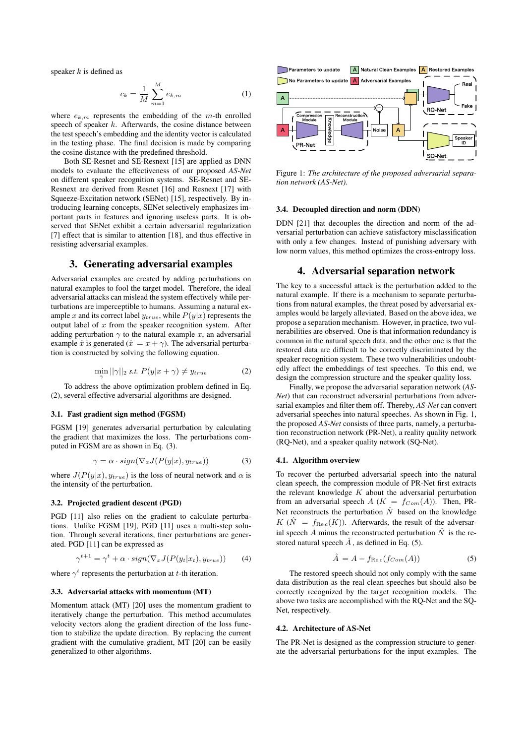speaker  $k$  is defined as

$$
c_k = \frac{1}{M} \sum_{m=1}^{M} e_{k,m}
$$
 (1)

where  $e_{k,m}$  represents the embedding of the m-th enrolled speech of speaker  $k$ . Afterwards, the cosine distance between the test speech's embedding and the identity vector is calculated in the testing phase. The final decision is made by comparing the cosine distance with the predefined threshold.

Both SE-Resnet and SE-Resnext [15] are applied as DNN models to evaluate the effectiveness of our proposed *AS-Net* on different speaker recognition systems. SE-Resnet and SE-Resnext are derived from Resnet [16] and Resnext [17] with Squeeze-Excitation network (SENet) [15], respectively. By introducing learning concepts, SENet selectively emphasizes important parts in features and ignoring useless parts. It is observed that SENet exhibit a certain adversarial regularization [7] effect that is similar to attention [18], and thus effective in resisting adversarial examples.

## 3. Generating adversarial examples

Adversarial examples are created by adding perturbations on natural examples to fool the target model. Therefore, the ideal adversarial attacks can mislead the system effectively while perturbations are imperceptible to humans. Assuming a natural example x and its correct label  $y_{true}$ , while  $P(y|x)$  represents the output label of  $x$  from the speaker recognition system. After adding perturbation  $\gamma$  to the natural example x, an adversarial example  $\hat{x}$  is generated  $(\hat{x} = x + \gamma)$ . The adversarial perturbation is constructed by solving the following equation.

$$
\min_{\gamma} ||\gamma||_2 \text{ s.t. } P(y|x+\gamma) \neq y_{true} \tag{2}
$$

To address the above optimization problem defined in Eq. (2), several effective adversarial algorithms are designed.

### 3.1. Fast gradient sign method (FGSM)

FGSM [19] generates adversarial perturbation by calculating the gradient that maximizes the loss. The perturbations computed in FGSM are as shown in Eq. (3).

$$
\gamma = \alpha \cdot sign(\nabla_x J(P(y|x), y_{true})) \tag{3}
$$

where  $J(P(y|x), y_{true})$  is the loss of neural network and  $\alpha$  is the intensity of the perturbation.

#### 3.2. Projected gradient descent (PGD)

PGD [11] also relies on the gradient to calculate perturbations. Unlike FGSM [19], PGD [11] uses a multi-step solution. Through several iterations, finer perturbations are generated. PGD [11] can be expressed as

$$
\gamma^{t+1} = \gamma^t + \alpha \cdot sign(\nabla_x J(P(y_t|x_t), y_{true})) \tag{4}
$$

where  $\gamma^t$  represents the perturbation at t-th iteration.

#### 3.3. Adversarial attacks with momentum (MT)

Momentum attack (MT) [20] uses the momentum gradient to iteratively change the perturbation. This method accumulates velocity vectors along the gradient direction of the loss function to stabilize the update direction. By replacing the current gradient with the cumulative gradient, MT [20] can be easily generalized to other algorithms.



Figure 1: *The architecture of the proposed adversarial separation network (AS-Net).*

#### 3.4. Decoupled direction and norm (DDN)

DDN [21] that decouples the direction and norm of the adversarial perturbation can achieve satisfactory misclassification with only a few changes. Instead of punishing adversary with low norm values, this method optimizes the cross-entropy loss.

### 4. Adversarial separation network

The key to a successful attack is the perturbation added to the natural example. If there is a mechanism to separate perturbations from natural examples, the threat posed by adversarial examples would be largely alleviated. Based on the above idea, we propose a separation mechanism. However, in practice, two vulnerabilities are observed. One is that information redundancy is common in the natural speech data, and the other one is that the restored data are difficult to be correctly discriminated by the speaker recognition system. These two vulnerabilities undoubtedly affect the embeddings of test speeches. To this end, we design the compression structure and the speaker quality loss.

Finally, we propose the adversarial separation network (*AS-Net*) that can reconstruct adversarial perturbations from adversarial examples and filter them off. Thereby, *AS-Net* can convert adversarial speeches into natural speeches. As shown in Fig. 1, the proposed *AS-Net* consists of three parts, namely, a perturbation reconstruction network (PR-Net), a reality quality network (RQ-Net), and a speaker quality network (SQ-Net).

#### 4.1. Algorithm overview

To recover the perturbed adversarial speech into the natural clean speech, the compression module of PR-Net first extracts the relevant knowledge  $K$  about the adversarial perturbation from an adversarial speech A ( $K = f_{Com}(A)$ ). Then, PR-Net reconstructs the perturbation  $\hat{N}$  based on the knowledge  $K(\hat{N}) = f_{\text{Re }c}(K)$ . Afterwards, the result of the adversarial speech A minus the reconstructed perturbation  $\hat{N}$  is the restored natural speech  $\tilde{A}$ , as defined in Eq. (5).

$$
\hat{A} = A - f_{\text{Re }c}(f_{Com}(A))
$$
 (5)

The restored speech should not only comply with the same data distribution as the real clean speeches but should also be correctly recognized by the target recognition models. The above two tasks are accomplished with the RQ-Net and the SQ-Net, respectively.

#### 4.2. Architecture of AS-Net

The PR-Net is designed as the compression structure to generate the adversarial perturbations for the input examples. The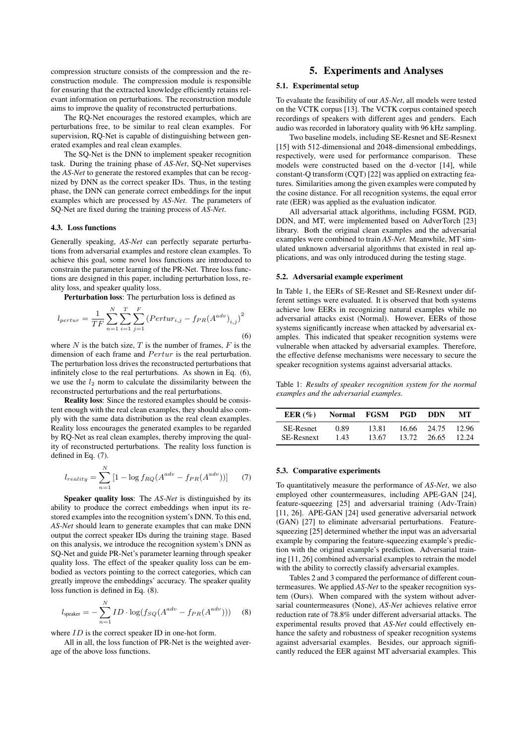compression structure consists of the compression and the reconstruction module. The compression module is responsible for ensuring that the extracted knowledge efficiently retains relevant information on perturbations. The reconstruction module aims to improve the quality of reconstructed perturbations.

The RQ-Net encourages the restored examples, which are perturbations free, to be similar to real clean examples. For supervision, RQ-Net is capable of distinguishing between generated examples and real clean examples.

The SQ-Net is the DNN to implement speaker recognition task. During the training phase of *AS-Net*, SQ-Net supervises the *AS-Net* to generate the restored examples that can be recognized by DNN as the correct speaker IDs. Thus, in the testing phase, the DNN can generate correct embeddings for the input examples which are processed by *AS-Net*. The parameters of SQ-Net are fixed during the training process of *AS-Net*.

### 4.3. Loss functions

Generally speaking, *AS-Net* can perfectly separate perturbations from adversarial examples and restore clean examples. To achieve this goal, some novel loss functions are introduced to constrain the parameter learning of the PR-Net. Three loss functions are designed in this paper, including perturbation loss, reality loss, and speaker quality loss.

Perturbation loss: The perturbation loss is defined as

$$
l_{pertur} = \frac{1}{TF} \sum_{n=1}^{N} \sum_{i=1}^{T} \sum_{j=1}^{F} (Pertur_{i,j} - f_{PR}(A^{adv})_{i,j})^{2}
$$
\n(6)

where  $N$  is the batch size,  $T$  is the number of frames,  $F$  is the dimension of each frame and  $Pertur$  is the real perturbation. The perturbation loss drives the reconstructed perturbations that infinitely close to the real perturbations. As shown in Eq. (6), we use the  $l_2$  norm to calculate the dissimilarity between the reconstructed perturbations and the real perturbations.

Reality loss: Since the restored examples should be consistent enough with the real clean examples, they should also comply with the same data distribution as the real clean examples. Reality loss encourages the generated examples to be regarded by RQ-Net as real clean examples, thereby improving the quality of reconstructed perturbations. The reality loss function is defined in Eq. (7).

$$
l_{reality} = \sum_{n=1}^{N} \left[ 1 - \log f_{RQ}(A^{adv} - f_{PR}(A^{adv})) \right] \tag{7}
$$

Speaker quality loss: The *AS-Net* is distinguished by its ability to produce the correct embeddings when input its restored examples into the recognition system's DNN. To this end, *AS-Net* should learn to generate examples that can make DNN output the correct speaker IDs during the training stage. Based on this analysis, we introduce the recognition system's DNN as SQ-Net and guide PR-Net's parameter learning through speaker quality loss. The effect of the speaker quality loss can be embodied as vectors pointing to the correct categories, which can greatly improve the embeddings' accuracy. The speaker quality loss function is defined in Eq. (8).

$$
l_{\text{speaker}} = -\sum_{n=1}^{N} ID \cdot \log(f_{SQ}(A^{adv} - f_{PR}(A^{adv}))) \quad (8)
$$

where  $ID$  is the correct speaker ID in one-hot form.

All in all, the loss function of PR-Net is the weighted average of the above loss functions.

## 5. Experiments and Analyses

### 5.1. Experimental setup

To evaluate the feasibility of our *AS-Net*, all models were tested on the VCTK corpus [13]. The VCTK corpus contained speech recordings of speakers with different ages and genders. Each audio was recorded in laboratory quality with 96 kHz sampling.

Two baseline models, including SE-Resnet and SE-Resnext [15] with 512-dimensional and 2048-dimensional embeddings, respectively, were used for performance comparison. These models were constructed based on the d-vector [14], while constant-Q transform (CQT) [22] was applied on extracting features. Similarities among the given examples were computed by the cosine distance. For all recognition systems, the equal error rate (EER) was applied as the evaluation indicator.

All adversarial attack algorithms, including FGSM, PGD, DDN, and MT, were implemented based on AdverTorch [23] library. Both the original clean examples and the adversarial examples were combined to train *AS-Net*. Meanwhile, MT simulated unknown adversarial algorithms that existed in real applications, and was only introduced during the testing stage.

#### 5.2. Adversarial example experiment

In Table 1, the EERs of SE-Resnet and SE-Resnext under different settings were evaluated. It is observed that both systems achieve low EERs in recognizing natural examples while no adversarial attacks exist (Normal). However, EERs of those systems significantly increase when attacked by adversarial examples. This indicated that speaker recognition systems were vulnerable when attacked by adversarial examples. Therefore, the effective defense mechanisms were necessary to secure the speaker recognition systems against adversarial attacks.

Table 1: *Results of speaker recognition system for the normal examples and the adversarial examples.*

| EER $(\%)$        | Normal | FGSM  | PGD   | - DDN | MТ    |
|-------------------|--------|-------|-------|-------|-------|
| <b>SE-Resnet</b>  | 0.89   | 13.81 | 16.66 | 24.75 | 12.96 |
| <b>SE-Resnext</b> | 1.43   | 13.67 | 13.72 | 26.65 | 12.24 |

### 5.3. Comparative experiments

To quantitatively measure the performance of *AS-Net*, we also employed other countermeasures, including APE-GAN [24], feature-squeezing [25] and adversarial training (Adv-Train) [11, 26]. APE-GAN [24] used generative adversarial network (GAN) [27] to eliminate adversarial perturbations. Featuresqueezing [25] determined whether the input was an adversarial example by comparing the feature-squeezing example's prediction with the original example's prediction. Adversarial training [11, 26] combined adversarial examples to retrain the model with the ability to correctly classify adversarial examples.

Tables 2 and 3 compared the performance of different countermeasures. We applied *AS-Net* to the speaker recognition system (Ours). When compared with the system without adversarial countermeasures (None), *AS-Net* achieves relative error reduction rate of 78.8% under different adversarial attacks. The experimental results proved that *AS-Net* could effectively enhance the safety and robustness of speaker recognition systems against adversarial examples. Besides, our approach significantly reduced the EER against MT adversarial examples. This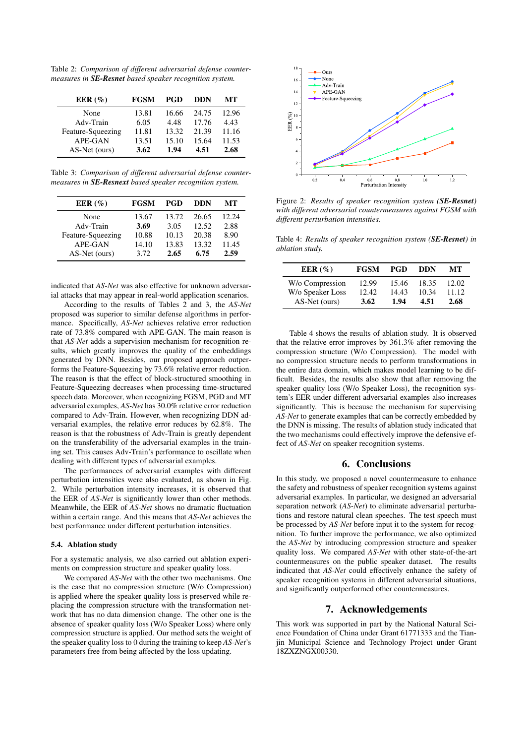Table 2: *Comparison of different adversarial defense countermeasures in SE-Resnet based speaker recognition system.*

| EER $(\% )$       | <b>FGSM</b> | <b>PGD</b> | DDN   | MТ    |
|-------------------|-------------|------------|-------|-------|
| None              | 13.81       | 16.66      | 24.75 | 12.96 |
| Adv-Train         | 6.05        | 4.48       | 17.76 | 4.43  |
| Feature-Squeezing | 11.81       | 13.32      | 21.39 | 11.16 |
| APE-GAN           | 13.51       | 15.10      | 15.64 | 11.53 |
| AS-Net (ours)     | 3.62        | 1.94       | 4.51  | 2.68  |

Table 3: *Comparison of different adversarial defense countermeasures in SE-Resnext based speaker recognition system.*

| EER $(\% )$       | <b>FGSM</b> | <b>PGD</b> | DDN   | MТ    |
|-------------------|-------------|------------|-------|-------|
| None              | 13.67       | 13.72      | 26.65 | 12.24 |
| Adv-Train         | 3.69        | 3.05       | 12.52 | 2.88  |
| Feature-Squeezing | 10.88       | 10.13      | 20.38 | 8.90  |
| APE-GAN           | 14.10       | 13.83      | 13.32 | 11.45 |
| AS-Net (ours)     | 3.72        | 2.65       | 6.75  | 2.59  |

indicated that *AS-Net* was also effective for unknown adversarial attacks that may appear in real-world application scenarios.

According to the results of Tables 2 and 3, the *AS-Net* proposed was superior to similar defense algorithms in performance. Specifically, *AS-Net* achieves relative error reduction rate of 73.8% compared with APE-GAN. The main reason is that *AS-Net* adds a supervision mechanism for recognition results, which greatly improves the quality of the embeddings generated by DNN. Besides, our proposed approach outperforms the Feature-Squeezing by 73.6% relative error reduction. The reason is that the effect of block-structured smoothing in Feature-Squeezing decreases when processing time-structured speech data. Moreover, when recognizing FGSM, PGD and MT adversarial examples, *AS-Net* has 30.0% relative error reduction compared to Adv-Train. However, when recognizing DDN adversarial examples, the relative error reduces by 62.8%. The reason is that the robustness of Adv-Train is greatly dependent on the transferability of the adversarial examples in the training set. This causes Adv-Train's performance to oscillate when dealing with different types of adversarial examples.

The performances of adversarial examples with different perturbation intensities were also evaluated, as shown in Fig. 2. While perturbation intensity increases, it is observed that the EER of *AS-Net* is significantly lower than other methods. Meanwhile, the EER of *AS-Net* shows no dramatic fluctuation within a certain range. And this means that *AS-Net* achieves the best performance under different perturbation intensities.

#### 5.4. Ablation study

For a systematic analysis, we also carried out ablation experiments on compression structure and speaker quality loss.

We compared *AS-Net* with the other two mechanisms. One is the case that no compression structure (W/o Compression) is applied where the speaker quality loss is preserved while replacing the compression structure with the transformation network that has no data dimension change. The other one is the absence of speaker quality loss (W/o Speaker Loss) where only compression structure is applied. Our method sets the weight of the speaker quality loss to 0 during the training to keep *AS-Net*'s parameters free from being affected by the loss updating.



Figure 2: *Results of speaker recognition system (SE-Resnet) with different adversarial countermeasures against FGSM with different perturbation intensities.*

Table 4: *Results of speaker recognition system (SE-Resnet) in ablation study.*

| EER $(\% )$                         | <b>FGSM</b>    | PGD            | DDN            | MТ             |
|-------------------------------------|----------------|----------------|----------------|----------------|
| W/o Compression<br>W/o Speaker Loss | 12.99<br>12.42 | 15.46<br>14.43 | 18.35<br>10.34 | 12.02<br>11.12 |
| AS-Net (ours)                       | 3.62           | 1.94           | 4.51           | 2.68           |

Table 4 shows the results of ablation study. It is observed that the relative error improves by 361.3% after removing the compression structure (W/o Compression). The model with no compression structure needs to perform transformations in the entire data domain, which makes model learning to be difficult. Besides, the results also show that after removing the speaker quality loss (W/o Speaker Loss), the recognition system's EER under different adversarial examples also increases significantly. This is because the mechanism for supervising *AS-Net* to generate examples that can be correctly embedded by the DNN is missing. The results of ablation study indicated that the two mechanisms could effectively improve the defensive effect of *AS-Net* on speaker recognition systems.

## 6. Conclusions

In this study, we proposed a novel countermeasure to enhance the safety and robustness of speaker recognition systems against adversarial examples. In particular, we designed an adversarial separation network (*AS-Net*) to eliminate adversarial perturbations and restore natural clean speeches. The test speech must be processed by *AS-Net* before input it to the system for recognition. To further improve the performance, we also optimized the *AS-Net* by introducing compression structure and speaker quality loss. We compared *AS-Net* with other state-of-the-art countermeasures on the public speaker dataset. The results indicated that *AS-Net* could effectively enhance the safety of speaker recognition systems in different adversarial situations, and significantly outperformed other countermeasures.

## 7. Acknowledgements

This work was supported in part by the National Natural Science Foundation of China under Grant 61771333 and the Tianjin Municipal Science and Technology Project under Grant 18ZXZNGX00330.